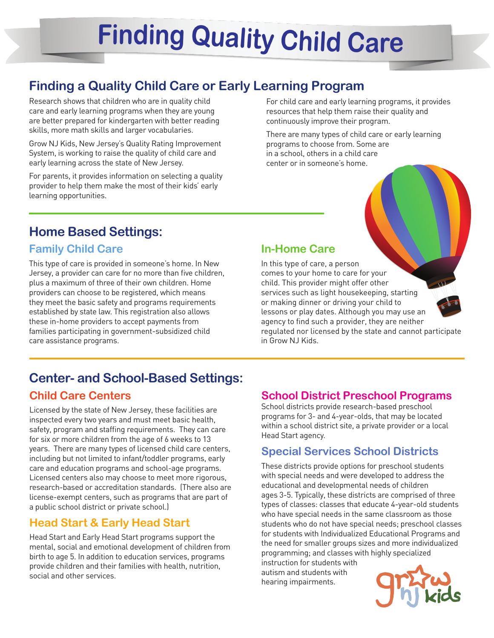# **Finding Quality Child Care**

# **Finding a Quality Child Care or Early Learning Program**

Research shows that children who are in quality child care and early learning programs when they are young are better prepared for kindergarten with better reading skills, more math skills and larger vocabularies.

Grow NJ Kids, New Jersey's Quality Rating Improvement System, is working to raise the quality of child care and early learning across the state of New Jersey.

For parents, it provides information on selecting a quality provider to help them make the most of their kids' early learning opportunities.

For child care and early learning programs, it provides resources that help them raise their quality and continuously improve their program.

There are many types of child care or early learning programs to choose from. Some are in a school, others in a child care center or in someone's home.

## **Home Based Settings:**

## **Family Child Care**

This type of care is provided in someone's home. In New Jersey, a provider can care for no more than five children, plus a maximum of three of their own children. Home providers can choose to be registered, which means they meet the basic safety and programs requirements established by state law. This registration also allows these in-home providers to accept payments from families participating in government-subsidized child care assistance programs.

#### **In-Home Care**

In this type of care, a person comes to your home to care for your child. This provider might offer other services such as light housekeeping, starting or making dinner or driving your child to lessons or play dates. Although you may use an agency to find such a provider, they are neither regulated nor licensed by the state and cannot participate in Grow NJ Kids.

## **Center- and School-Based Settings:**

## **Child Care Centers**

Licensed by the state of New Jersey, these facilities are inspected every two years and must meet basic health, safety, program and staffing requirements. They can care for six or more children from the age of 6 weeks to 13 years. There are many types of licensed child care centers, including but not limited to infant/toddler programs, early care and education programs and school-age programs. Licensed centers also may choose to meet more rigorous, research-based or accreditation standards. (There also are license-exempt centers, such as programs that are part of a public school district or private school.)

## **Head Start & Early Head Start**

Head Start and Early Head Start programs support the mental, social and emotional development of children from birth to age 5. In addition to education services, programs provide children and their families with health, nutrition, social and other services.

#### **School District Preschool Programs**

School districts provide research-based preschool programs for 3- and 4-year-olds, that may be located within a school district site, a private provider or a local Head Start agency.

#### **Special Services School Districts**

These districts provide options for preschool students with special needs and were developed to address the educational and developmental needs of children ages 3-5. Typically, these districts are comprised of three types of classes: classes that educate 4-year-old students who have special needs in the same classroom as those students who do not have special needs; preschool classes for students with Individualized Educational Programs and the need for smaller groups sizes and more individualized programming; and classes with highly specialized

instruction for students with autism and students with hearing impairments.